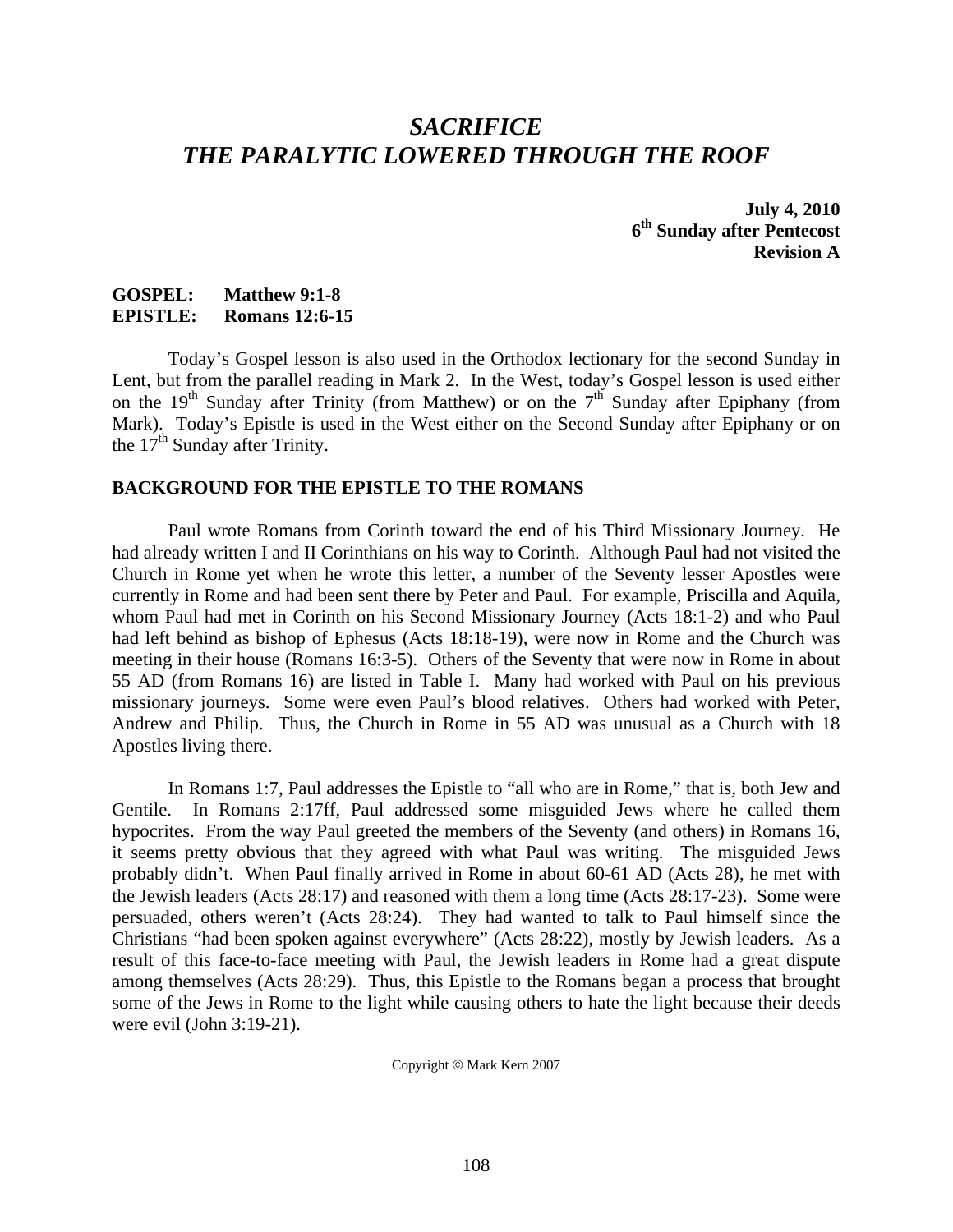## *SACRIFICE THE PARALYTIC LOWERED THROUGH THE ROOF*

**July 4, 2010 6th Sunday after Pentecost Revision A** 

## **GOSPEL: Matthew 9:1-8 EPISTLE: Romans 12:6-15**

 Today's Gospel lesson is also used in the Orthodox lectionary for the second Sunday in Lent, but from the parallel reading in Mark 2. In the West, today's Gospel lesson is used either on the 19<sup>th</sup> Sunday after Trinity (from Matthew) or on the  $7<sup>th</sup>$  Sunday after Epiphany (from Mark). Today's Epistle is used in the West either on the Second Sunday after Epiphany or on the 17<sup>th</sup> Sunday after Trinity.

## **BACKGROUND FOR THE EPISTLE TO THE ROMANS**

 Paul wrote Romans from Corinth toward the end of his Third Missionary Journey. He had already written I and II Corinthians on his way to Corinth. Although Paul had not visited the Church in Rome yet when he wrote this letter, a number of the Seventy lesser Apostles were currently in Rome and had been sent there by Peter and Paul. For example, Priscilla and Aquila, whom Paul had met in Corinth on his Second Missionary Journey (Acts 18:1-2) and who Paul had left behind as bishop of Ephesus (Acts 18:18-19), were now in Rome and the Church was meeting in their house (Romans 16:3-5). Others of the Seventy that were now in Rome in about 55 AD (from Romans 16) are listed in Table I. Many had worked with Paul on his previous missionary journeys. Some were even Paul's blood relatives. Others had worked with Peter, Andrew and Philip. Thus, the Church in Rome in 55 AD was unusual as a Church with 18 Apostles living there.

 In Romans 1:7, Paul addresses the Epistle to "all who are in Rome," that is, both Jew and Gentile. In Romans 2:17ff, Paul addressed some misguided Jews where he called them hypocrites. From the way Paul greeted the members of the Seventy (and others) in Romans 16, it seems pretty obvious that they agreed with what Paul was writing. The misguided Jews probably didn't. When Paul finally arrived in Rome in about 60-61 AD (Acts 28), he met with the Jewish leaders (Acts 28:17) and reasoned with them a long time (Acts 28:17-23). Some were persuaded, others weren't (Acts 28:24). They had wanted to talk to Paul himself since the Christians "had been spoken against everywhere" (Acts 28:22), mostly by Jewish leaders. As a result of this face-to-face meeting with Paul, the Jewish leaders in Rome had a great dispute among themselves (Acts 28:29). Thus, this Epistle to the Romans began a process that brought some of the Jews in Rome to the light while causing others to hate the light because their deeds were evil (John 3:19-21).

Copyright © Mark Kern 2007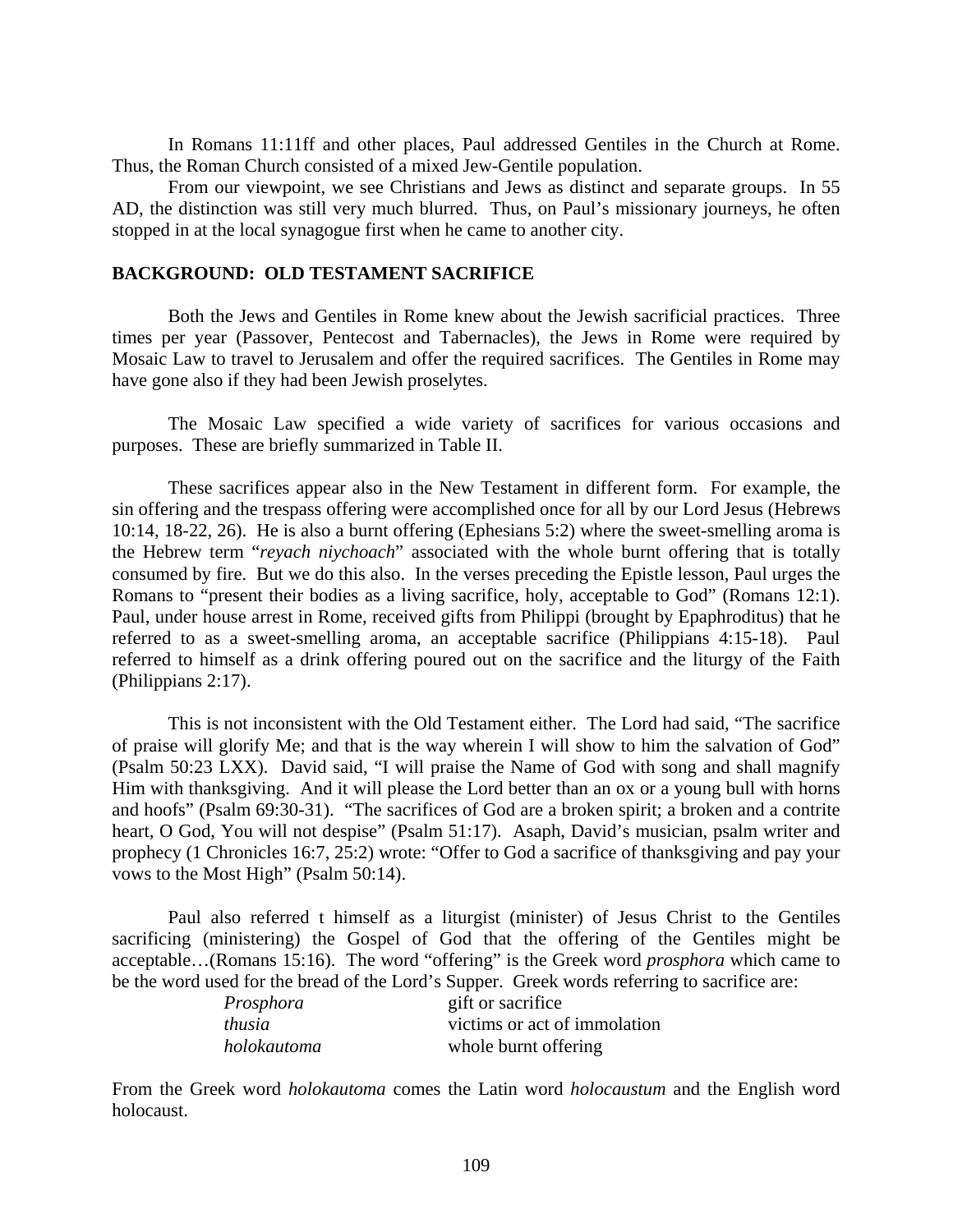In Romans 11:11ff and other places, Paul addressed Gentiles in the Church at Rome. Thus, the Roman Church consisted of a mixed Jew-Gentile population.

 From our viewpoint, we see Christians and Jews as distinct and separate groups. In 55 AD, the distinction was still very much blurred. Thus, on Paul's missionary journeys, he often stopped in at the local synagogue first when he came to another city.

## **BACKGROUND: OLD TESTAMENT SACRIFICE**

 Both the Jews and Gentiles in Rome knew about the Jewish sacrificial practices. Three times per year (Passover, Pentecost and Tabernacles), the Jews in Rome were required by Mosaic Law to travel to Jerusalem and offer the required sacrifices. The Gentiles in Rome may have gone also if they had been Jewish proselytes.

 The Mosaic Law specified a wide variety of sacrifices for various occasions and purposes. These are briefly summarized in Table II.

 These sacrifices appear also in the New Testament in different form. For example, the sin offering and the trespass offering were accomplished once for all by our Lord Jesus (Hebrews 10:14, 18-22, 26). He is also a burnt offering (Ephesians 5:2) where the sweet-smelling aroma is the Hebrew term "*reyach niychoach*" associated with the whole burnt offering that is totally consumed by fire. But we do this also. In the verses preceding the Epistle lesson, Paul urges the Romans to "present their bodies as a living sacrifice, holy, acceptable to God" (Romans 12:1). Paul, under house arrest in Rome, received gifts from Philippi (brought by Epaphroditus) that he referred to as a sweet-smelling aroma, an acceptable sacrifice (Philippians 4:15-18). Paul referred to himself as a drink offering poured out on the sacrifice and the liturgy of the Faith (Philippians 2:17).

 This is not inconsistent with the Old Testament either. The Lord had said, "The sacrifice of praise will glorify Me; and that is the way wherein I will show to him the salvation of God" (Psalm 50:23 LXX). David said, "I will praise the Name of God with song and shall magnify Him with thanksgiving. And it will please the Lord better than an ox or a young bull with horns and hoofs" (Psalm 69:30-31). "The sacrifices of God are a broken spirit; a broken and a contrite heart, O God, You will not despise" (Psalm 51:17). Asaph, David's musician, psalm writer and prophecy (1 Chronicles 16:7, 25:2) wrote: "Offer to God a sacrifice of thanksgiving and pay your vows to the Most High" (Psalm 50:14).

 Paul also referred t himself as a liturgist (minister) of Jesus Christ to the Gentiles sacrificing (ministering) the Gospel of God that the offering of the Gentiles might be acceptable…(Romans 15:16). The word "offering" is the Greek word *prosphora* which came to be the word used for the bread of the Lord's Supper. Greek words referring to sacrifice are:

| Prosphora   | gift or sacrifice            |
|-------------|------------------------------|
| thusia      | victims or act of immolation |
| holokautoma | whole burnt offering         |

From the Greek word *holokautoma* comes the Latin word *holocaustum* and the English word holocaust.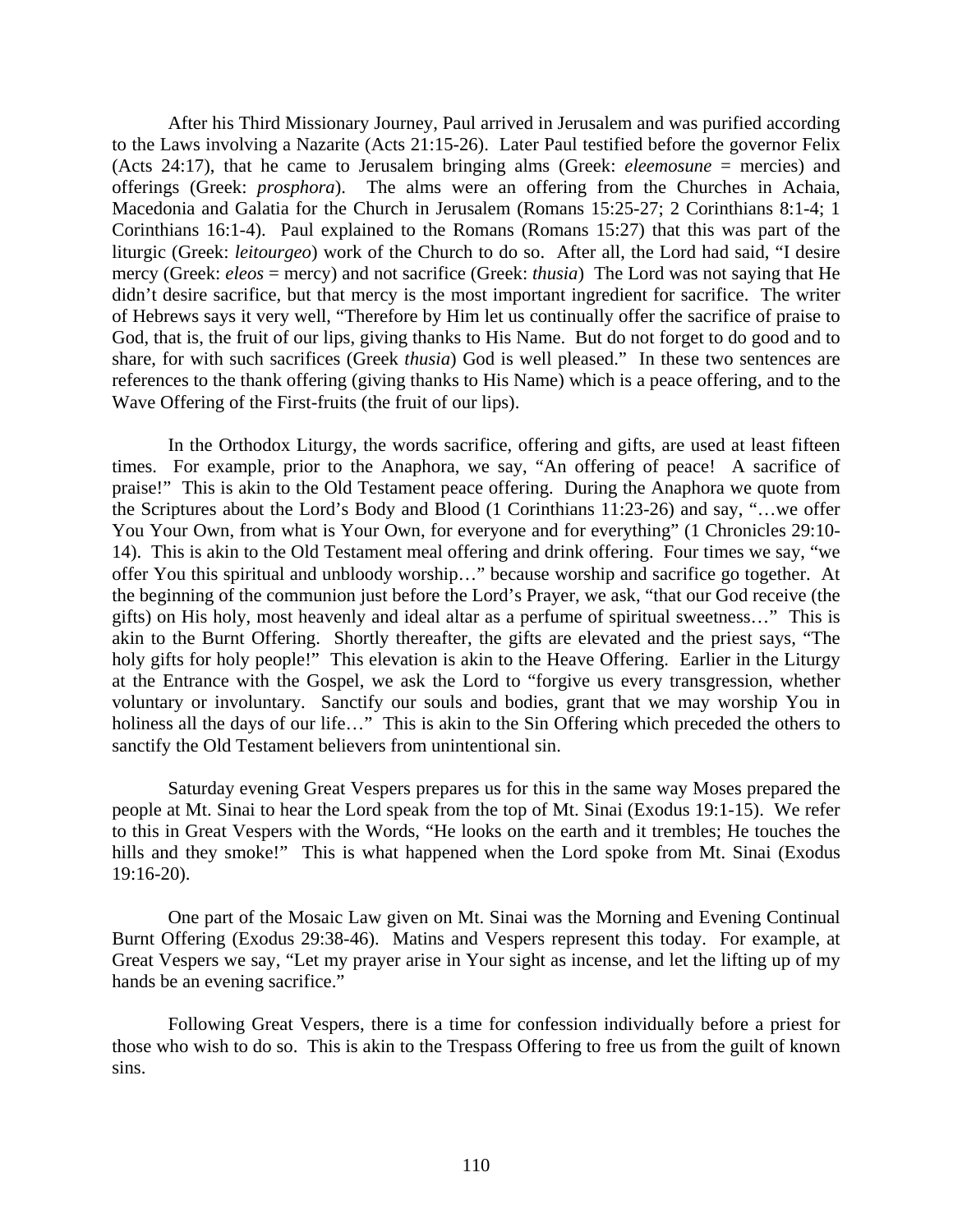After his Third Missionary Journey, Paul arrived in Jerusalem and was purified according to the Laws involving a Nazarite (Acts 21:15-26). Later Paul testified before the governor Felix (Acts 24:17), that he came to Jerusalem bringing alms (Greek: *eleemosune* = mercies) and offerings (Greek: *prosphora*). The alms were an offering from the Churches in Achaia, Macedonia and Galatia for the Church in Jerusalem (Romans 15:25-27; 2 Corinthians 8:1-4; 1 Corinthians 16:1-4). Paul explained to the Romans (Romans 15:27) that this was part of the liturgic (Greek: *leitourgeo*) work of the Church to do so. After all, the Lord had said, "I desire mercy (Greek: *eleos* = mercy) and not sacrifice (Greek: *thusia*) The Lord was not saying that He didn't desire sacrifice, but that mercy is the most important ingredient for sacrifice. The writer of Hebrews says it very well, "Therefore by Him let us continually offer the sacrifice of praise to God, that is, the fruit of our lips, giving thanks to His Name. But do not forget to do good and to share, for with such sacrifices (Greek *thusia*) God is well pleased." In these two sentences are references to the thank offering (giving thanks to His Name) which is a peace offering, and to the Wave Offering of the First-fruits (the fruit of our lips).

 In the Orthodox Liturgy, the words sacrifice, offering and gifts, are used at least fifteen times. For example, prior to the Anaphora, we say, "An offering of peace! A sacrifice of praise!" This is akin to the Old Testament peace offering. During the Anaphora we quote from the Scriptures about the Lord's Body and Blood (1 Corinthians 11:23-26) and say, "…we offer You Your Own, from what is Your Own, for everyone and for everything" (1 Chronicles 29:10- 14). This is akin to the Old Testament meal offering and drink offering. Four times we say, "we offer You this spiritual and unbloody worship…" because worship and sacrifice go together. At the beginning of the communion just before the Lord's Prayer, we ask, "that our God receive (the gifts) on His holy, most heavenly and ideal altar as a perfume of spiritual sweetness…" This is akin to the Burnt Offering. Shortly thereafter, the gifts are elevated and the priest says, "The holy gifts for holy people!" This elevation is akin to the Heave Offering. Earlier in the Liturgy at the Entrance with the Gospel, we ask the Lord to "forgive us every transgression, whether voluntary or involuntary. Sanctify our souls and bodies, grant that we may worship You in holiness all the days of our life…" This is akin to the Sin Offering which preceded the others to sanctify the Old Testament believers from unintentional sin.

 Saturday evening Great Vespers prepares us for this in the same way Moses prepared the people at Mt. Sinai to hear the Lord speak from the top of Mt. Sinai (Exodus 19:1-15). We refer to this in Great Vespers with the Words, "He looks on the earth and it trembles; He touches the hills and they smoke!" This is what happened when the Lord spoke from Mt. Sinai (Exodus 19:16-20).

 One part of the Mosaic Law given on Mt. Sinai was the Morning and Evening Continual Burnt Offering (Exodus 29:38-46). Matins and Vespers represent this today. For example, at Great Vespers we say, "Let my prayer arise in Your sight as incense, and let the lifting up of my hands be an evening sacrifice."

 Following Great Vespers, there is a time for confession individually before a priest for those who wish to do so. This is akin to the Trespass Offering to free us from the guilt of known sins.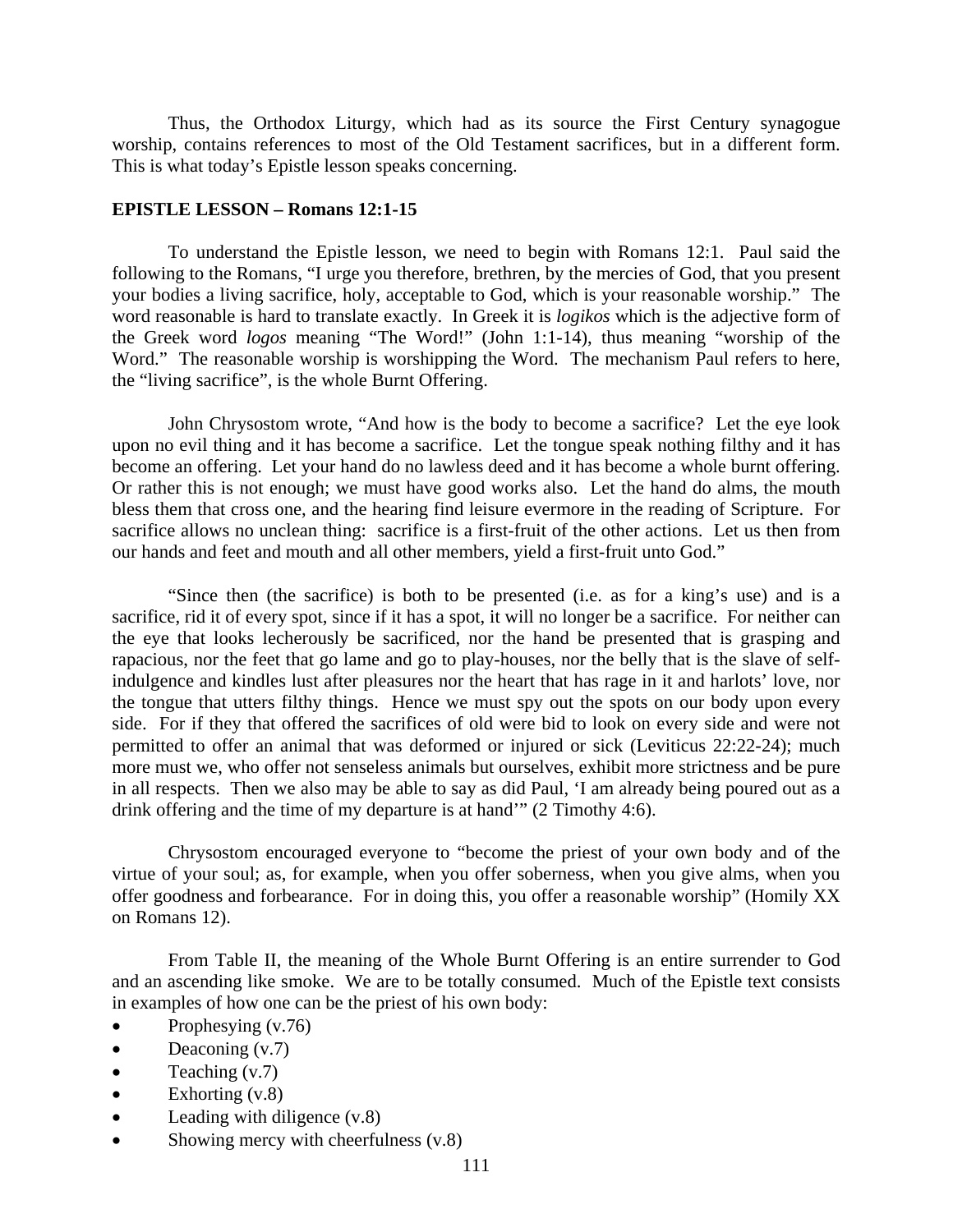Thus, the Orthodox Liturgy, which had as its source the First Century synagogue worship, contains references to most of the Old Testament sacrifices, but in a different form. This is what today's Epistle lesson speaks concerning.

#### **EPISTLE LESSON – Romans 12:1-15**

 To understand the Epistle lesson, we need to begin with Romans 12:1. Paul said the following to the Romans, "I urge you therefore, brethren, by the mercies of God, that you present your bodies a living sacrifice, holy, acceptable to God, which is your reasonable worship." The word reasonable is hard to translate exactly. In Greek it is *logikos* which is the adjective form of the Greek word *logos* meaning "The Word!" (John 1:1-14), thus meaning "worship of the Word." The reasonable worship is worshipping the Word. The mechanism Paul refers to here, the "living sacrifice", is the whole Burnt Offering.

 John Chrysostom wrote, "And how is the body to become a sacrifice? Let the eye look upon no evil thing and it has become a sacrifice. Let the tongue speak nothing filthy and it has become an offering. Let your hand do no lawless deed and it has become a whole burnt offering. Or rather this is not enough; we must have good works also. Let the hand do alms, the mouth bless them that cross one, and the hearing find leisure evermore in the reading of Scripture. For sacrifice allows no unclean thing: sacrifice is a first-fruit of the other actions. Let us then from our hands and feet and mouth and all other members, yield a first-fruit unto God."

 "Since then (the sacrifice) is both to be presented (i.e. as for a king's use) and is a sacrifice, rid it of every spot, since if it has a spot, it will no longer be a sacrifice. For neither can the eye that looks lecherously be sacrificed, nor the hand be presented that is grasping and rapacious, nor the feet that go lame and go to play-houses, nor the belly that is the slave of selfindulgence and kindles lust after pleasures nor the heart that has rage in it and harlots' love, nor the tongue that utters filthy things. Hence we must spy out the spots on our body upon every side. For if they that offered the sacrifices of old were bid to look on every side and were not permitted to offer an animal that was deformed or injured or sick (Leviticus 22:22-24); much more must we, who offer not senseless animals but ourselves, exhibit more strictness and be pure in all respects. Then we also may be able to say as did Paul, 'I am already being poured out as a drink offering and the time of my departure is at hand'" (2 Timothy 4:6).

 Chrysostom encouraged everyone to "become the priest of your own body and of the virtue of your soul; as, for example, when you offer soberness, when you give alms, when you offer goodness and forbearance. For in doing this, you offer a reasonable worship" (Homily XX on Romans 12).

 From Table II, the meaning of the Whole Burnt Offering is an entire surrender to God and an ascending like smoke. We are to be totally consumed. Much of the Epistle text consists in examples of how one can be the priest of his own body:

- Prophesying (v.76)
- Deaconing (v.7)
- Teaching  $(v.7)$
- Exhorting  $(v.8)$
- Leading with diligence  $(v.8)$
- Showing mercy with cheerfulness  $(v.8)$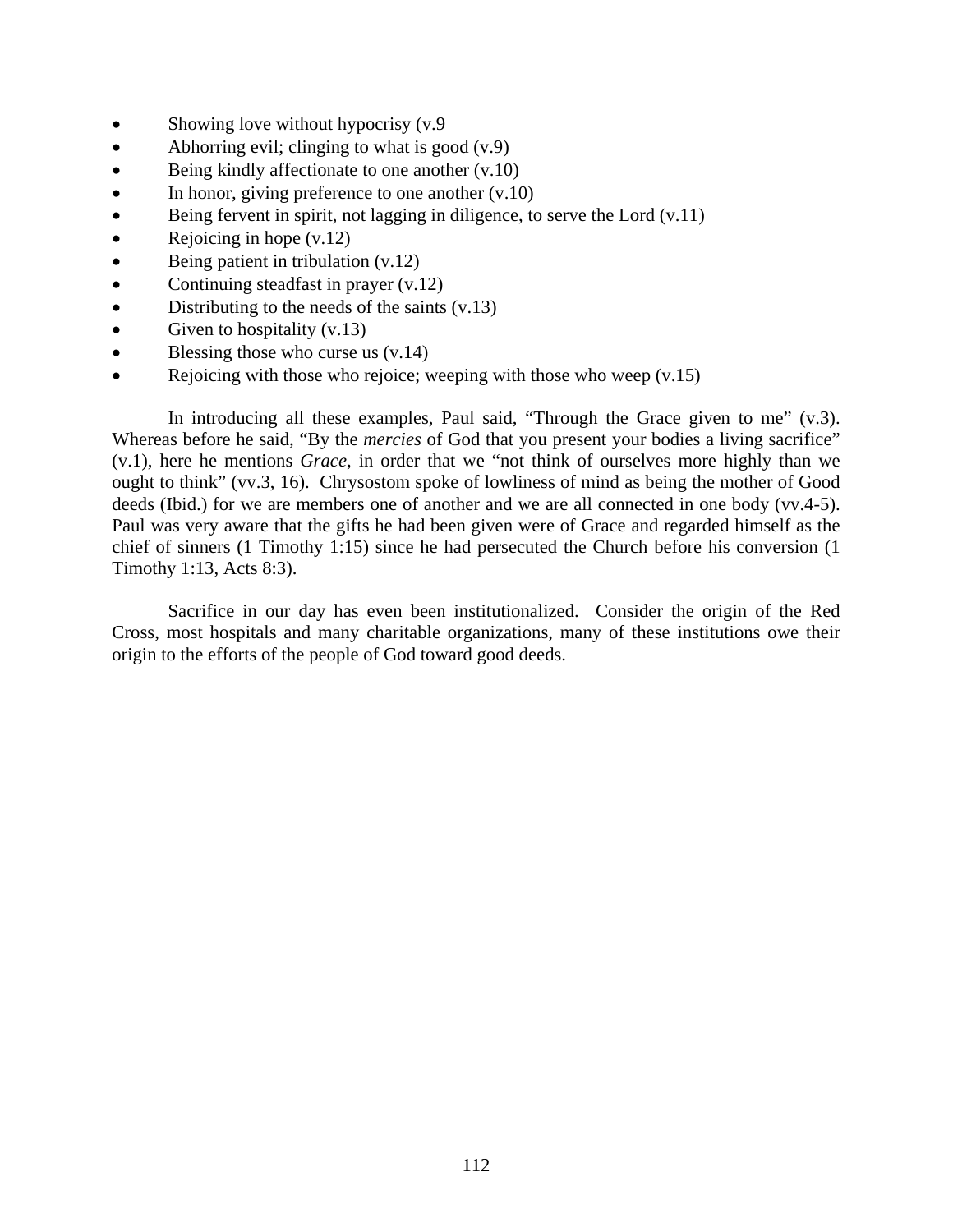- Showing love without hypocrisy (v.9)
- Abhorring evil; clinging to what is good  $(v.9)$
- Being kindly affectionate to one another  $(v.10)$
- In honor, giving preference to one another  $(v.10)$
- $\bullet$  Being fervent in spirit, not lagging in diligence, to serve the Lord (v.11)
- Rejoicing in hope  $(v.12)$
- Being patient in tribulation (v.12)
- Continuing steadfast in prayer (v.12)
- Distributing to the needs of the saints (v.13)
- Given to hospitality  $(v.13)$
- $\bullet$  Blessing those who curse us  $(v.14)$
- Rejoicing with those who rejoice; weeping with those who weep (v.15)

In introducing all these examples, Paul said, "Through the Grace given to me" (v.3). Whereas before he said, "By the *mercies* of God that you present your bodies a living sacrifice" (v.1), here he mentions *Grace*, in order that we "not think of ourselves more highly than we ought to think" (vv.3, 16). Chrysostom spoke of lowliness of mind as being the mother of Good deeds (Ibid.) for we are members one of another and we are all connected in one body (vv.4-5). Paul was very aware that the gifts he had been given were of Grace and regarded himself as the chief of sinners (1 Timothy 1:15) since he had persecuted the Church before his conversion (1 Timothy 1:13, Acts 8:3).

 Sacrifice in our day has even been institutionalized. Consider the origin of the Red Cross, most hospitals and many charitable organizations, many of these institutions owe their origin to the efforts of the people of God toward good deeds.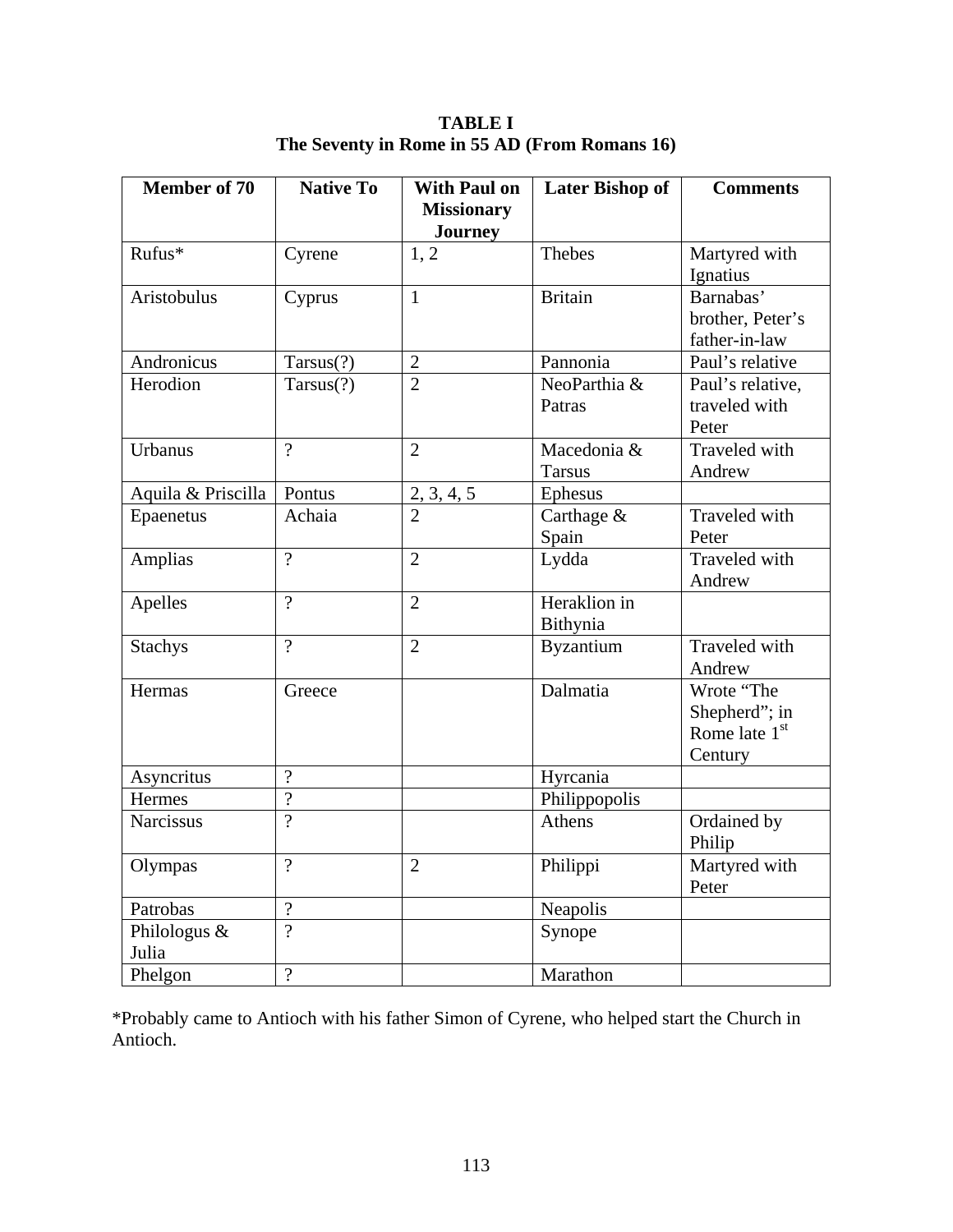**Member of 70 | Native To | With Paul on Missionary Journey**  Later Bishop of **Comments** Rufus\* Cyrene 1, 2 Thebes Martyred with Ignatius Aristobulus Cyprus 1 Britain Barnabas' brother, Peter's father-in-law Andronicus Tarsus(?) 2 Pannonia Paul's relative Herodion  $\vert$  Tarsus(?)  $\vert$  2  $\vert$  NeoParthia & Patras Paul's relative, traveled with Peter Urbanus  $\begin{array}{ccc} |2| & |2| & |Macedonia & \end{array}$ Tarsus Traveled with Andrew Aquila & Priscilla | Pontus  $\begin{array}{|l|l|} 2, 3, 4, 5 \end{array}$  | Ephesus Epaenetus Achaia 2 Carthage & Spain Traveled with Peter Amplias ? 2 Lydda Traveled with Andrew Apelles ? 2 Heraklion in Bithynia Stachys ? 2 Byzantium Traveled with Andrew Hermas Greece Dalmatia Wrote "The Shepherd"; in Rome late  $1<sup>st</sup>$ **Century** Asyncritus  $\vert$ ? Hyrcania Hermes  $\vert$  ?  $\vert$  Philippopolis Narcissus ? Athens | Ordained by Philip Olympas ? 2 Philippi Martyred with Peter Patrobas  $\vert$ ?  $\vert$  Neapolis Philologus & Julia ? Synope Phelgon  $\vert$ ?  $\vert$  Marathon

**TABLE I The Seventy in Rome in 55 AD (From Romans 16)** 

\*Probably came to Antioch with his father Simon of Cyrene, who helped start the Church in Antioch.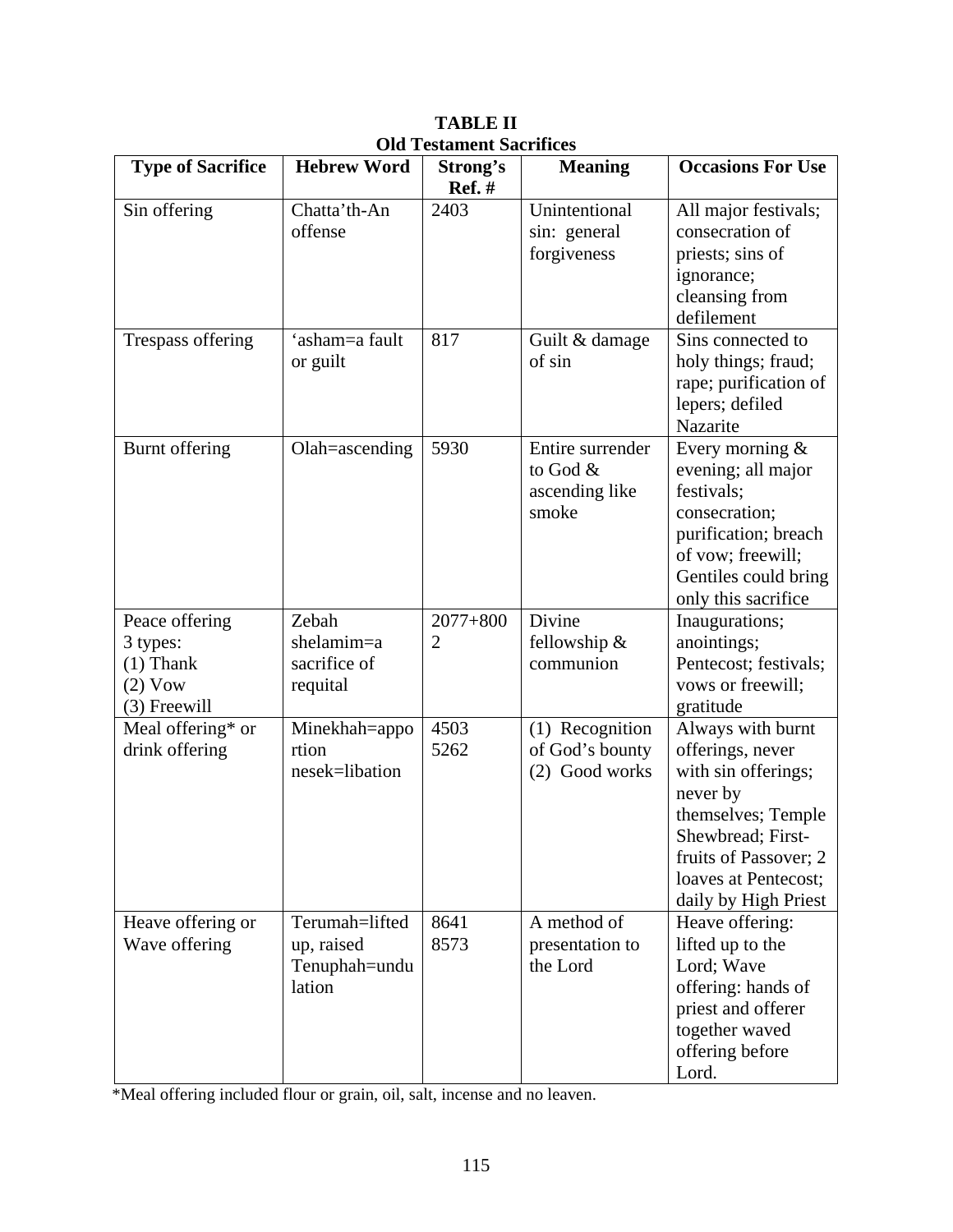| <b>Type of Sacrifice</b>                                                 | <b>Hebrew Word</b>                                      | Strong's<br><b>Ref.</b> # | <b>Meaning</b>                                            | <b>Occasions For Use</b>                                                                                                                                                                     |
|--------------------------------------------------------------------------|---------------------------------------------------------|---------------------------|-----------------------------------------------------------|----------------------------------------------------------------------------------------------------------------------------------------------------------------------------------------------|
| Sin offering                                                             | Chatta'th-An<br>offense                                 | 2403                      | Unintentional<br>sin: general<br>forgiveness              | All major festivals;<br>consecration of<br>priests; sins of<br>ignorance;<br>cleansing from<br>defilement                                                                                    |
| Trespass offering                                                        | 'asham=a fault<br>or guilt                              | 817                       | Guilt & damage<br>of sin                                  | Sins connected to<br>holy things; fraud;<br>rape; purification of<br>lepers; defiled<br>Nazarite                                                                                             |
| Burnt offering                                                           | Olah=ascending                                          | 5930                      | Entire surrender<br>to God $&$<br>ascending like<br>smoke | Every morning &<br>evening; all major<br>festivals;<br>consecration;<br>purification; breach<br>of vow; freewill;<br>Gentiles could bring<br>only this sacrifice                             |
| Peace offering<br>3 types:<br>$(1)$ Thank<br>$(2)$ Vow<br>$(3)$ Freewill | Zebah<br>shelamim=a<br>sacrifice of<br>requital         | $2077 + 800$<br>2         | Divine<br>fellowship &<br>communion                       | Inaugurations;<br>anointings;<br>Pentecost; festivals;<br>vows or freewill;<br>gratitude                                                                                                     |
| Meal offering* or<br>drink offering                                      | Minekhah=appo<br>rtion<br>nesek=libation                | 4503<br>5262              | (1) Recognition<br>of God's bounty<br>(2) Good works      | Always with burnt<br>offerings, never<br>with sin offerings;<br>never by<br>themselves; Temple<br>Shewbread; First-<br>fruits of Passover; 2<br>loaves at Pentecost;<br>daily by High Priest |
| Heave offering or<br>Wave offering                                       | Terumah=lifted<br>up, raised<br>Tenuphah=undu<br>lation | 8641<br>8573              | A method of<br>presentation to<br>the Lord                | Heave offering:<br>lifted up to the<br>Lord; Wave<br>offering: hands of<br>priest and offerer<br>together waved<br>offering before<br>Lord.                                                  |

**TABLE II Old Testament Sacrifices** 

\*Meal offering included flour or grain, oil, salt, incense and no leaven.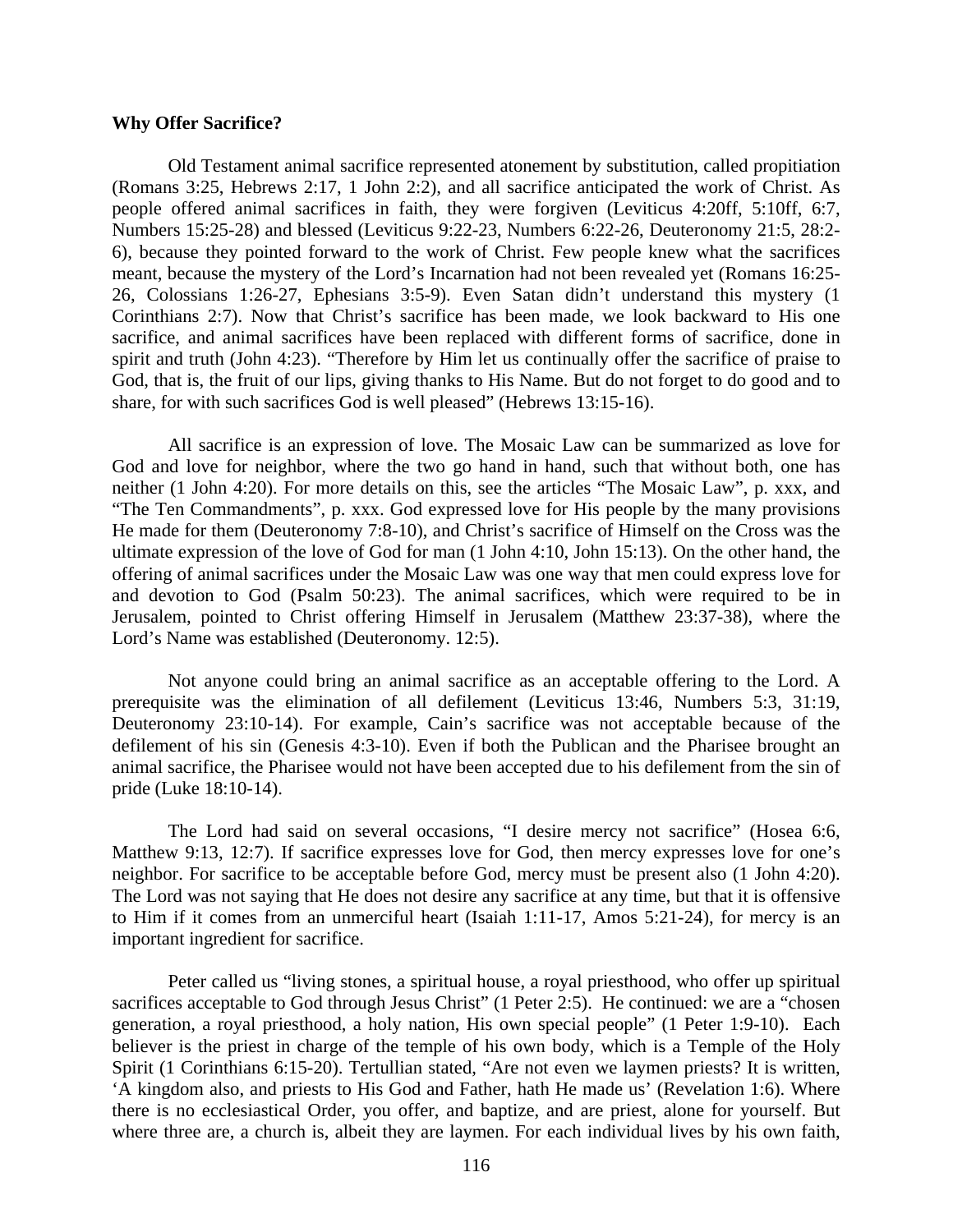#### **Why Offer Sacrifice?**

Old Testament animal sacrifice represented atonement by substitution, called propitiation (Romans 3:25, Hebrews 2:17, 1 John 2:2), and all sacrifice anticipated the work of Christ. As people offered animal sacrifices in faith, they were forgiven (Leviticus 4:20ff, 5:10ff, 6:7, Numbers 15:25-28) and blessed (Leviticus 9:22-23, Numbers 6:22-26, Deuteronomy 21:5, 28:2- 6), because they pointed forward to the work of Christ. Few people knew what the sacrifices meant, because the mystery of the Lord's Incarnation had not been revealed yet (Romans 16:25- 26, Colossians 1:26-27, Ephesians 3:5-9). Even Satan didn't understand this mystery (1 Corinthians 2:7). Now that Christ's sacrifice has been made, we look backward to His one sacrifice, and animal sacrifices have been replaced with different forms of sacrifice, done in spirit and truth (John 4:23). "Therefore by Him let us continually offer the sacrifice of praise to God, that is, the fruit of our lips, giving thanks to His Name. But do not forget to do good and to share, for with such sacrifices God is well pleased" (Hebrews 13:15-16).

All sacrifice is an expression of love. The Mosaic Law can be summarized as love for God and love for neighbor, where the two go hand in hand, such that without both, one has neither (1 John 4:20). For more details on this, see the articles "The Mosaic Law", p. xxx, and "The Ten Commandments", p. xxx. God expressed love for His people by the many provisions He made for them (Deuteronomy 7:8-10), and Christ's sacrifice of Himself on the Cross was the ultimate expression of the love of God for man (1 John 4:10, John 15:13). On the other hand, the offering of animal sacrifices under the Mosaic Law was one way that men could express love for and devotion to God (Psalm 50:23). The animal sacrifices, which were required to be in Jerusalem, pointed to Christ offering Himself in Jerusalem (Matthew 23:37-38), where the Lord's Name was established (Deuteronomy. 12:5).

Not anyone could bring an animal sacrifice as an acceptable offering to the Lord. A prerequisite was the elimination of all defilement (Leviticus 13:46, Numbers 5:3, 31:19, Deuteronomy 23:10-14). For example, Cain's sacrifice was not acceptable because of the defilement of his sin (Genesis 4:3-10). Even if both the Publican and the Pharisee brought an animal sacrifice, the Pharisee would not have been accepted due to his defilement from the sin of pride (Luke 18:10-14).

The Lord had said on several occasions, "I desire mercy not sacrifice" (Hosea 6:6, Matthew 9:13, 12:7). If sacrifice expresses love for God, then mercy expresses love for one's neighbor. For sacrifice to be acceptable before God, mercy must be present also (1 John 4:20). The Lord was not saying that He does not desire any sacrifice at any time, but that it is offensive to Him if it comes from an unmerciful heart (Isaiah 1:11-17, Amos 5:21-24), for mercy is an important ingredient for sacrifice.

Peter called us "living stones, a spiritual house, a royal priesthood, who offer up spiritual sacrifices acceptable to God through Jesus Christ" (1 Peter 2:5). He continued: we are a "chosen generation, a royal priesthood, a holy nation, His own special people" (1 Peter 1:9-10). Each believer is the priest in charge of the temple of his own body, which is a Temple of the Holy Spirit (1 Corinthians 6:15-20). Tertullian stated, "Are not even we laymen priests? It is written, 'A kingdom also, and priests to His God and Father, hath He made us' (Revelation 1:6). Where there is no ecclesiastical Order, you offer, and baptize, and are priest, alone for yourself. But where three are, a church is, albeit they are laymen. For each individual lives by his own faith,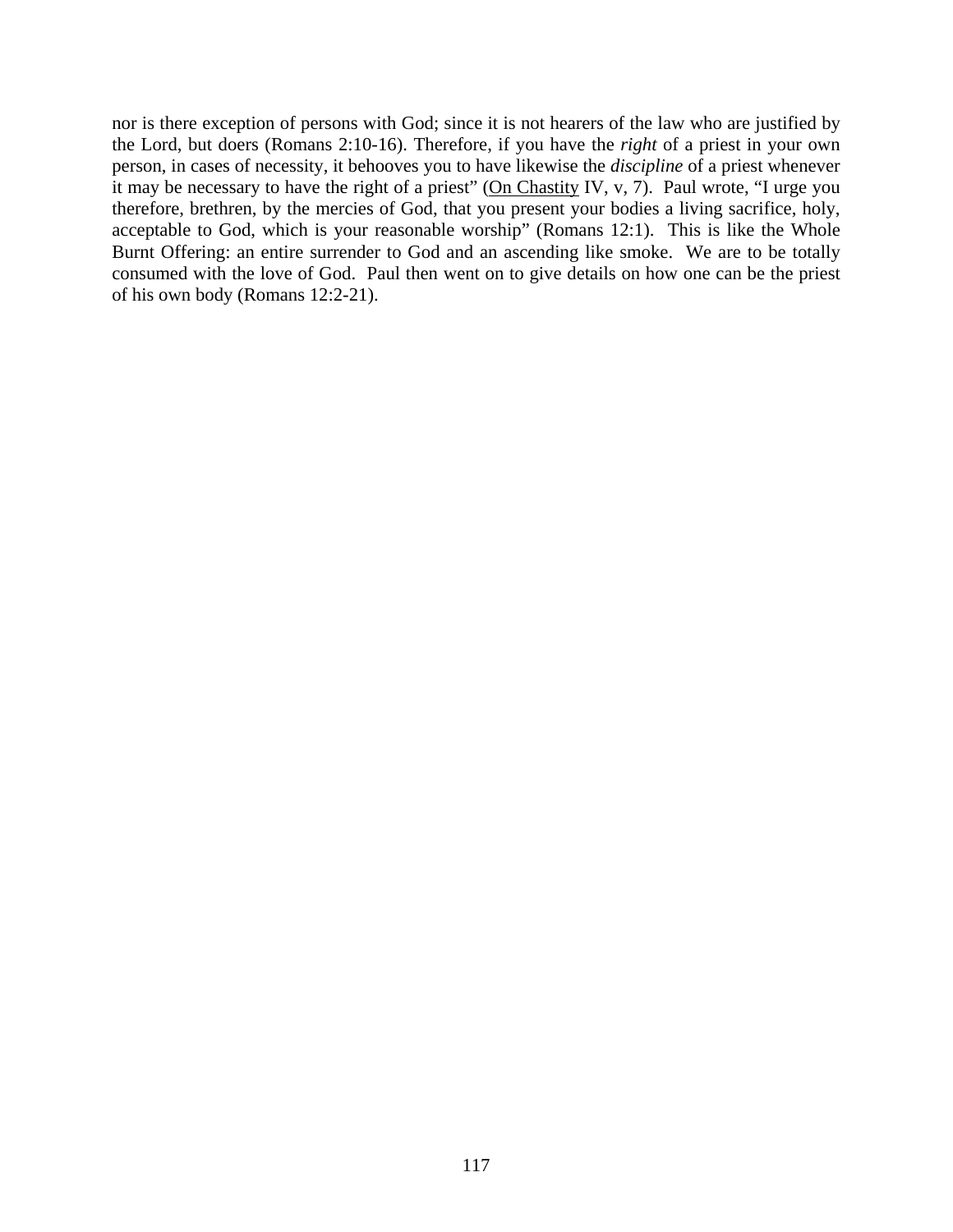nor is there exception of persons with God; since it is not hearers of the law who are justified by the Lord, but doers (Romans 2:10-16). Therefore, if you have the *right* of a priest in your own person, in cases of necessity, it behooves you to have likewise the *discipline* of a priest whenever it may be necessary to have the right of a priest" (On Chastity IV, v, 7). Paul wrote, "I urge you therefore, brethren, by the mercies of God, that you present your bodies a living sacrifice, holy, acceptable to God, which is your reasonable worship" (Romans 12:1). This is like the Whole Burnt Offering: an entire surrender to God and an ascending like smoke. We are to be totally consumed with the love of God. Paul then went on to give details on how one can be the priest of his own body (Romans 12:2-21).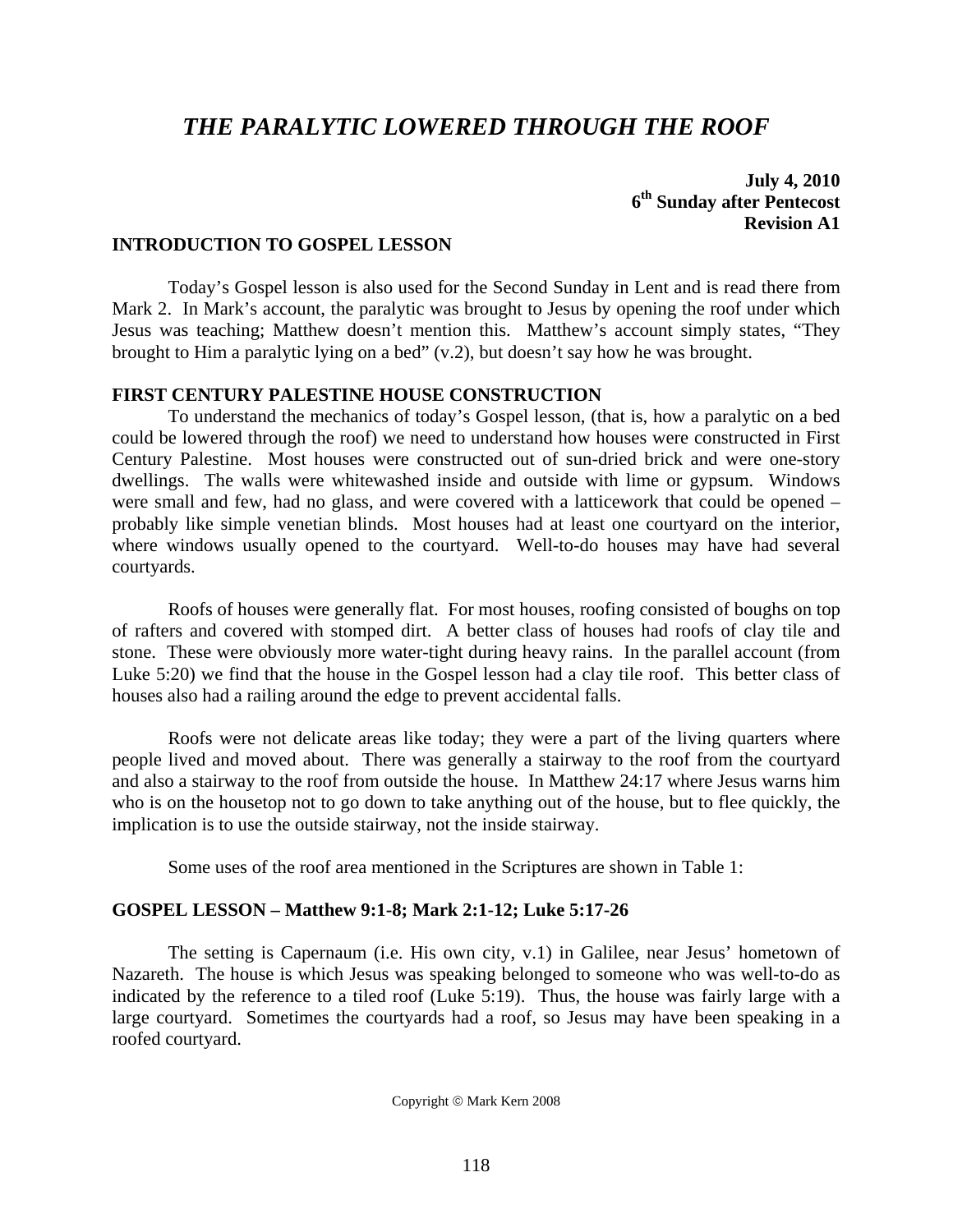# *THE PARALYTIC LOWERED THROUGH THE ROOF*

**July 4, 2010 6th Sunday after Pentecost Revision A1**

#### **INTRODUCTION TO GOSPEL LESSON**

 Today's Gospel lesson is also used for the Second Sunday in Lent and is read there from Mark 2. In Mark's account, the paralytic was brought to Jesus by opening the roof under which Jesus was teaching; Matthew doesn't mention this. Matthew's account simply states, "They brought to Him a paralytic lying on a bed" (v.2), but doesn't say how he was brought.

### **FIRST CENTURY PALESTINE HOUSE CONSTRUCTION**

 To understand the mechanics of today's Gospel lesson, (that is, how a paralytic on a bed could be lowered through the roof) we need to understand how houses were constructed in First Century Palestine. Most houses were constructed out of sun-dried brick and were one-story dwellings. The walls were whitewashed inside and outside with lime or gypsum. Windows were small and few, had no glass, and were covered with a latticework that could be opened – probably like simple venetian blinds. Most houses had at least one courtyard on the interior, where windows usually opened to the courtyard. Well-to-do houses may have had several courtyards.

 Roofs of houses were generally flat. For most houses, roofing consisted of boughs on top of rafters and covered with stomped dirt. A better class of houses had roofs of clay tile and stone. These were obviously more water-tight during heavy rains. In the parallel account (from Luke 5:20) we find that the house in the Gospel lesson had a clay tile roof. This better class of houses also had a railing around the edge to prevent accidental falls.

 Roofs were not delicate areas like today; they were a part of the living quarters where people lived and moved about. There was generally a stairway to the roof from the courtyard and also a stairway to the roof from outside the house. In Matthew 24:17 where Jesus warns him who is on the housetop not to go down to take anything out of the house, but to flee quickly, the implication is to use the outside stairway, not the inside stairway.

Some uses of the roof area mentioned in the Scriptures are shown in Table 1:

#### **GOSPEL LESSON – Matthew 9:1-8; Mark 2:1-12; Luke 5:17-26**

 The setting is Capernaum (i.e. His own city, v.1) in Galilee, near Jesus' hometown of Nazareth. The house is which Jesus was speaking belonged to someone who was well-to-do as indicated by the reference to a tiled roof (Luke 5:19). Thus, the house was fairly large with a large courtyard. Sometimes the courtyards had a roof, so Jesus may have been speaking in a roofed courtyard.

Copyright © Mark Kern 2008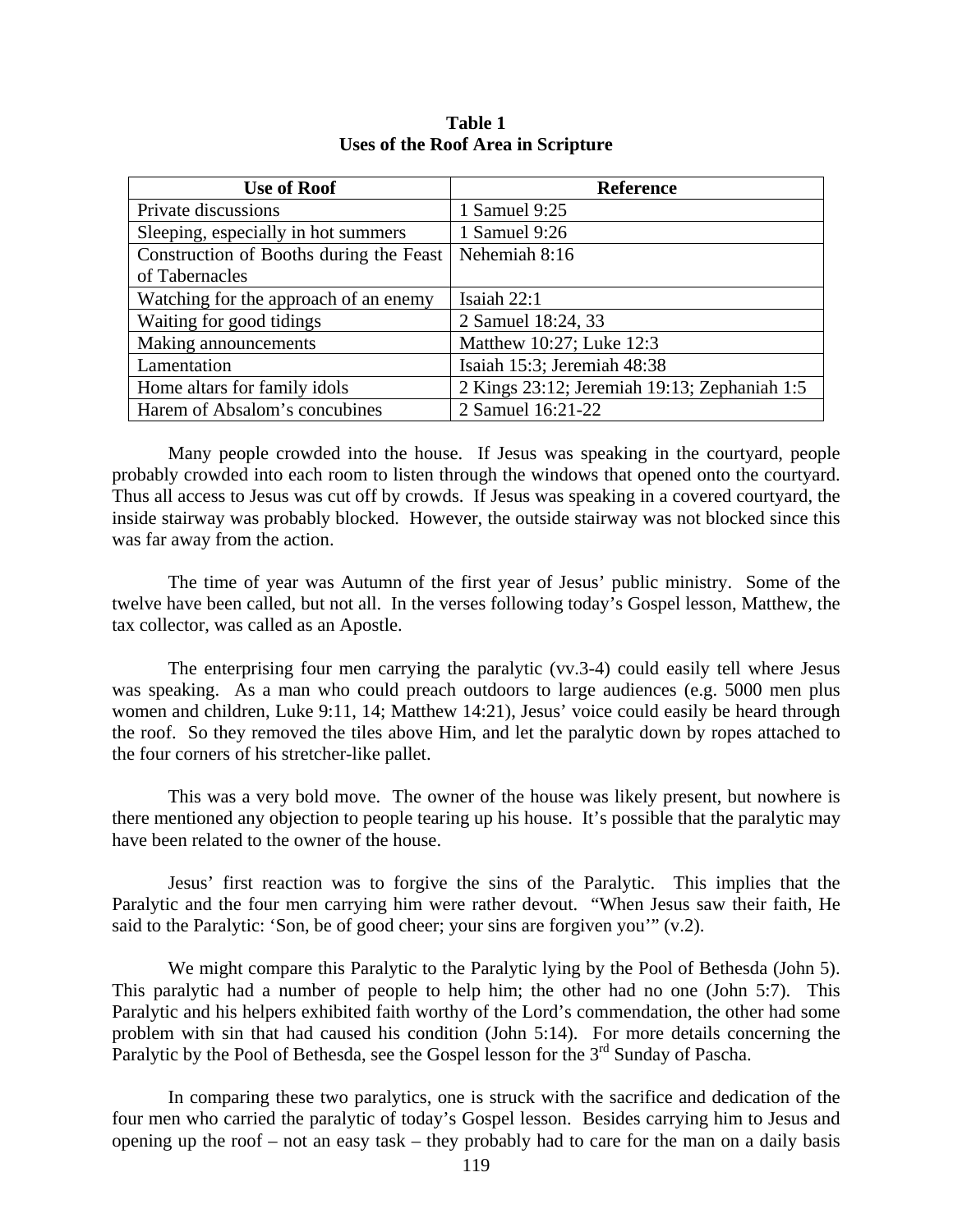| <b>Use of Roof</b>                      | <b>Reference</b>                             |
|-----------------------------------------|----------------------------------------------|
| Private discussions                     | 1 Samuel 9:25                                |
| Sleeping, especially in hot summers     | 1 Samuel 9:26                                |
| Construction of Booths during the Feast | Nehemiah 8:16                                |
| of Tabernacles                          |                                              |
| Watching for the approach of an enemy   | Isaiah 22:1                                  |
| Waiting for good tidings                | 2 Samuel 18:24, 33                           |
| Making announcements                    | Matthew 10:27; Luke 12:3                     |
| Lamentation                             | Isaiah 15:3; Jeremiah 48:38                  |
| Home altars for family idols            | 2 Kings 23:12; Jeremiah 19:13; Zephaniah 1:5 |
| Harem of Absalom's concubines           | 2 Samuel 16:21-22                            |

**Table 1 Uses of the Roof Area in Scripture** 

 Many people crowded into the house. If Jesus was speaking in the courtyard, people probably crowded into each room to listen through the windows that opened onto the courtyard. Thus all access to Jesus was cut off by crowds. If Jesus was speaking in a covered courtyard, the inside stairway was probably blocked. However, the outside stairway was not blocked since this was far away from the action.

 The time of year was Autumn of the first year of Jesus' public ministry. Some of the twelve have been called, but not all. In the verses following today's Gospel lesson, Matthew, the tax collector, was called as an Apostle.

 The enterprising four men carrying the paralytic (vv.3-4) could easily tell where Jesus was speaking. As a man who could preach outdoors to large audiences (e.g. 5000 men plus women and children, Luke 9:11, 14; Matthew 14:21), Jesus' voice could easily be heard through the roof. So they removed the tiles above Him, and let the paralytic down by ropes attached to the four corners of his stretcher-like pallet.

 This was a very bold move. The owner of the house was likely present, but nowhere is there mentioned any objection to people tearing up his house. It's possible that the paralytic may have been related to the owner of the house.

 Jesus' first reaction was to forgive the sins of the Paralytic. This implies that the Paralytic and the four men carrying him were rather devout. "When Jesus saw their faith, He said to the Paralytic: 'Son, be of good cheer; your sins are forgiven you'" (v.2).

 We might compare this Paralytic to the Paralytic lying by the Pool of Bethesda (John 5). This paralytic had a number of people to help him; the other had no one (John 5:7). This Paralytic and his helpers exhibited faith worthy of the Lord's commendation, the other had some problem with sin that had caused his condition (John 5:14). For more details concerning the Paralytic by the Pool of Bethesda, see the Gospel lesson for the 3<sup>rd</sup> Sunday of Pascha.

 In comparing these two paralytics, one is struck with the sacrifice and dedication of the four men who carried the paralytic of today's Gospel lesson. Besides carrying him to Jesus and opening up the roof – not an easy task – they probably had to care for the man on a daily basis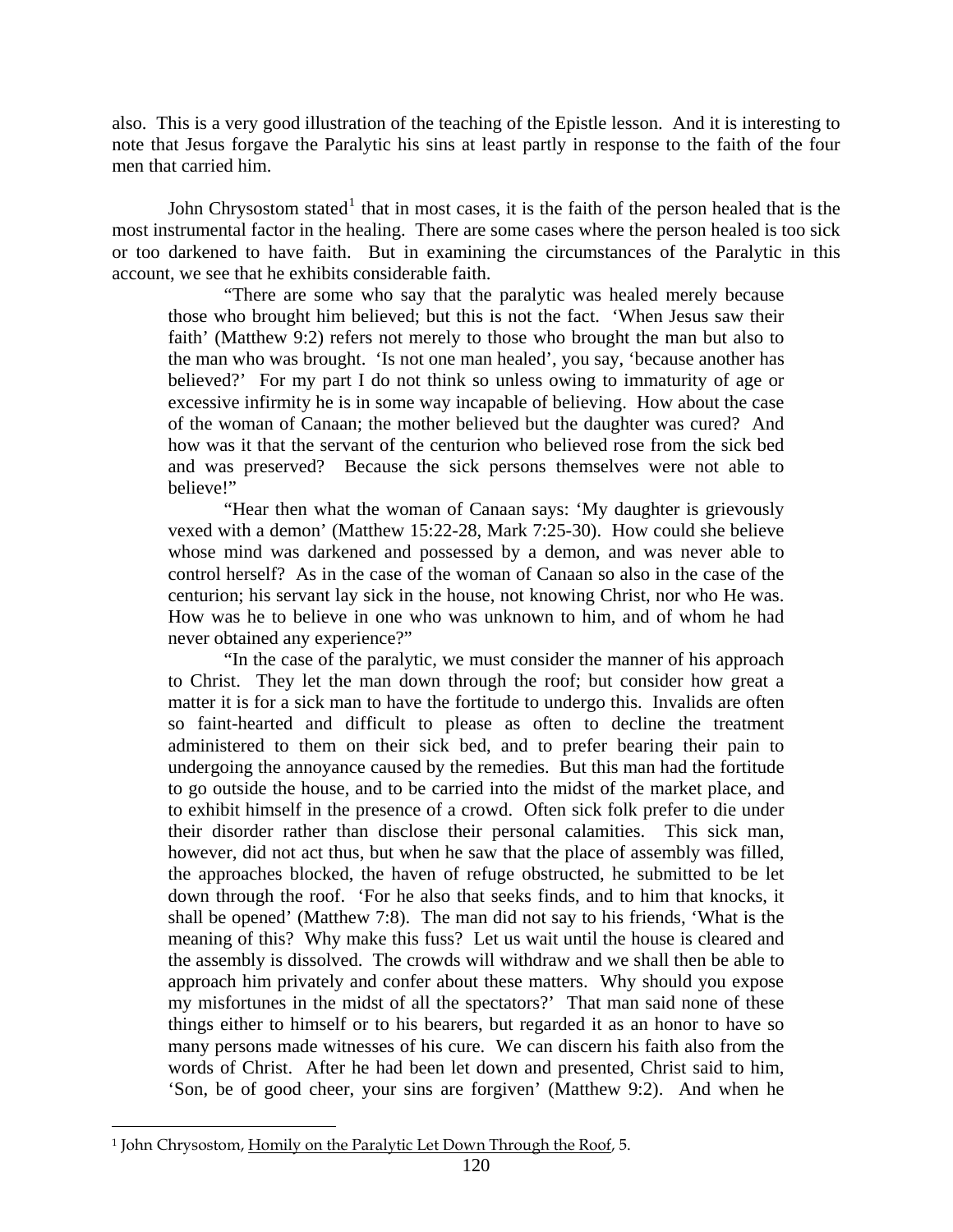also. This is a very good illustration of the teaching of the Epistle lesson. And it is interesting to note that Jesus forgave the Paralytic his sins at least partly in response to the faith of the four men that carried him.

John Chrysostom stated<sup>[1](#page-11-0)</sup> that in most cases, it is the faith of the person healed that is the most instrumental factor in the healing. There are some cases where the person healed is too sick or too darkened to have faith. But in examining the circumstances of the Paralytic in this account, we see that he exhibits considerable faith.

"There are some who say that the paralytic was healed merely because those who brought him believed; but this is not the fact. 'When Jesus saw their faith' (Matthew 9:2) refers not merely to those who brought the man but also to the man who was brought. 'Is not one man healed', you say, 'because another has believed?' For my part I do not think so unless owing to immaturity of age or excessive infirmity he is in some way incapable of believing. How about the case of the woman of Canaan; the mother believed but the daughter was cured? And how was it that the servant of the centurion who believed rose from the sick bed and was preserved? Because the sick persons themselves were not able to believe!"

"Hear then what the woman of Canaan says: 'My daughter is grievously vexed with a demon' (Matthew 15:22-28, Mark 7:25-30). How could she believe whose mind was darkened and possessed by a demon, and was never able to control herself? As in the case of the woman of Canaan so also in the case of the centurion; his servant lay sick in the house, not knowing Christ, nor who He was. How was he to believe in one who was unknown to him, and of whom he had never obtained any experience?"

"In the case of the paralytic, we must consider the manner of his approach to Christ. They let the man down through the roof; but consider how great a matter it is for a sick man to have the fortitude to undergo this. Invalids are often so faint-hearted and difficult to please as often to decline the treatment administered to them on their sick bed, and to prefer bearing their pain to undergoing the annoyance caused by the remedies. But this man had the fortitude to go outside the house, and to be carried into the midst of the market place, and to exhibit himself in the presence of a crowd. Often sick folk prefer to die under their disorder rather than disclose their personal calamities. This sick man, however, did not act thus, but when he saw that the place of assembly was filled, the approaches blocked, the haven of refuge obstructed, he submitted to be let down through the roof. 'For he also that seeks finds, and to him that knocks, it shall be opened' (Matthew 7:8). The man did not say to his friends, 'What is the meaning of this? Why make this fuss? Let us wait until the house is cleared and the assembly is dissolved. The crowds will withdraw and we shall then be able to approach him privately and confer about these matters. Why should you expose my misfortunes in the midst of all the spectators?' That man said none of these things either to himself or to his bearers, but regarded it as an honor to have so many persons made witnesses of his cure. We can discern his faith also from the words of Christ. After he had been let down and presented, Christ said to him, 'Son, be of good cheer, your sins are forgiven' (Matthew 9:2). And when he

 $\overline{a}$ 

<span id="page-11-0"></span><sup>&</sup>lt;sup>1</sup> John Chrysostom, Homily on the Paralytic Let Down Through the Roof, 5.